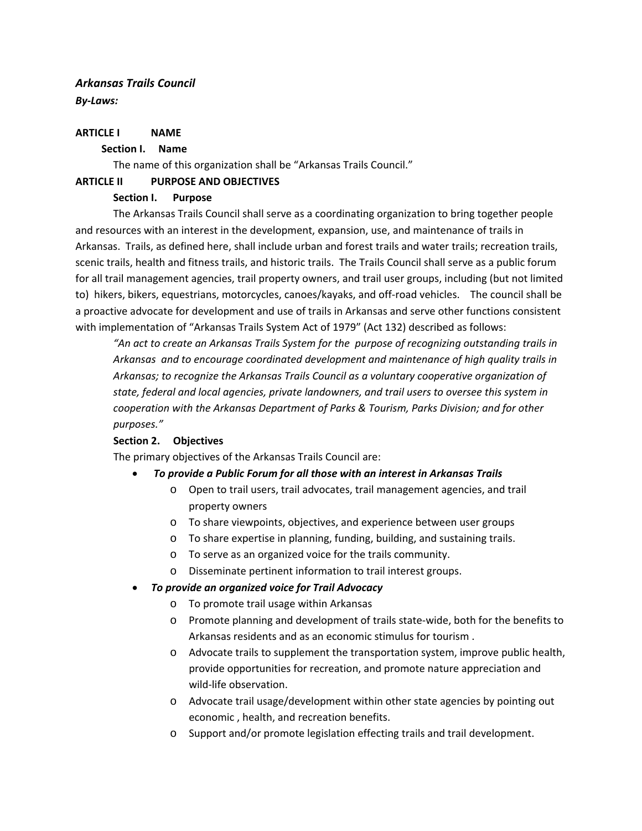# *Arkansas Trails Council*

*By‐Laws:*

# **ARTICLE I NAME**

# **Section I. Name**

The name of this organization shall be "Arkansas Trails Council."

# **ARTICLE II PURPOSE AND OBJECTIVES**

# **Section I. Purpose**

The Arkansas Trails Council shall serve as a coordinating organization to bring together people and resources with an interest in the development, expansion, use, and maintenance of trails in Arkansas. Trails, as defined here, shall include urban and forest trails and water trails; recreation trails, scenic trails, health and fitness trails, and historic trails. The Trails Council shall serve as a public forum for all trail management agencies, trail property owners, and trail user groups, including (but not limited to) hikers, bikers, equestrians, motorcycles, canoes/kayaks, and off-road vehicles. The council shall be a proactive advocate for development and use of trails in Arkansas and serve other functions consistent with implementation of "Arkansas Trails System Act of 1979" (Act 132) described as follows:

*"An act to create an Arkansas Trails System for the purpose of recognizing outstanding trails in Arkansas and to encourage coordinated development and maintenance of high quality trails in Arkansas; to recognize the Arkansas Trails Council as a voluntary cooperative organization of state, federal and local agencies, private landowners, and trail users to oversee this system in cooperation with the Arkansas Department of Parks & Tourism, Parks Division; and for other purposes."*

# **Section 2. Objectives**

The primary objectives of the Arkansas Trails Council are:

# • *To provide a Public Forum for all those with an interest in Arkansas Trails*

- o Open to trail users, trail advocates, trail management agencies, and trail property owners
- o To share viewpoints, objectives, and experience between user groups
- o To share expertise in planning, funding, building, and sustaining trails.
- o To serve as an organized voice for the trails community.
- o Disseminate pertinent information to trail interest groups.

# • *To provide an organized voice for Trail Advocacy*

- o To promote trail usage within Arkansas
- o Promote planning and development of trails state‐wide, both for the benefits to Arkansas residents and as an economic stimulus for tourism .
- o Advocate trails to supplement the transportation system, improve public health, provide opportunities for recreation, and promote nature appreciation and wild-life observation.
- o Advocate trail usage/development within other state agencies by pointing out economic , health, and recreation benefits.
- o Support and/or promote legislation effecting trails and trail development.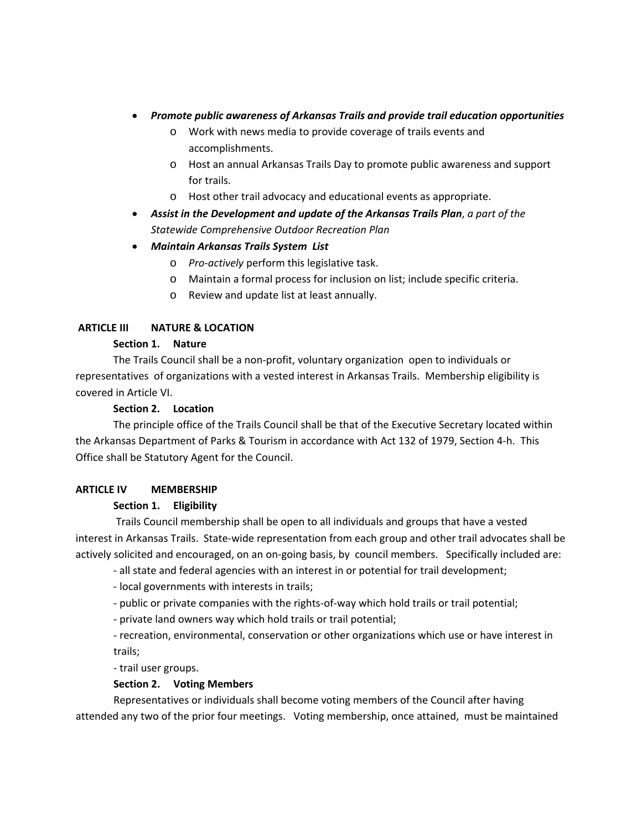- *Promote public awareness of Arkansas Trails and provide trail education opportunities*
	- o Work with news media to provide coverage of trails events and accomplishments.
	- o Host an annual Arkansas Trails Day to promote public awareness and support for trails.
	- o Host other trail advocacy and educational events as appropriate.
- *Assist in the Development and update of the Arkansas Trails Plan*, *a part of the Statewide Comprehensive Outdoor Recreation Plan*
- *Maintain Arkansas Trails System List*
	- o *Pro‐actively* perform this legislative task.
	- o Maintain a formal process for inclusion on list; include specific criteria.
	- o Review and update list at least annually.

# **ARTICLE III NATURE & LOCATION**

## **Section 1. Nature**

The Trails Council shall be a non‐profit, voluntary organization open to individuals or representatives of organizations with a vested interest in Arkansas Trails. Membership eligibility is covered in Article VI.

# **Section 2. Location**

The principle office of the Trails Council shall be that of the Executive Secretary located within the Arkansas Department of Parks & Tourism in accordance with Act 132 of 1979, Section 4‐h. This Office shall be Statutory Agent for the Council.

## **ARTICLE IV MEMBERSHIP**

# **Section 1. Eligibility**

 Trails Council membership shall be open to all individuals and groups that have a vested interest in Arkansas Trails. State-wide representation from each group and other trail advocates shall be actively solicited and encouraged, on an on‐going basis, by council members. Specifically included are:

- ‐ all state and federal agencies with an interest in or potential for trail development;
- ‐ local governments with interests in trails;
- ‐ public or private companies with the rights‐of‐way which hold trails or trail potential;
- ‐ private land owners way which hold trails or trail potential;

‐ recreation, environmental, conservation or other organizations which use or have interest in trails;

‐ trail user groups.

# **Section 2. Voting Members**

 Representatives or individuals shall become voting members of the Council after having attended any two of the prior four meetings. Voting membership, once attained, must be maintained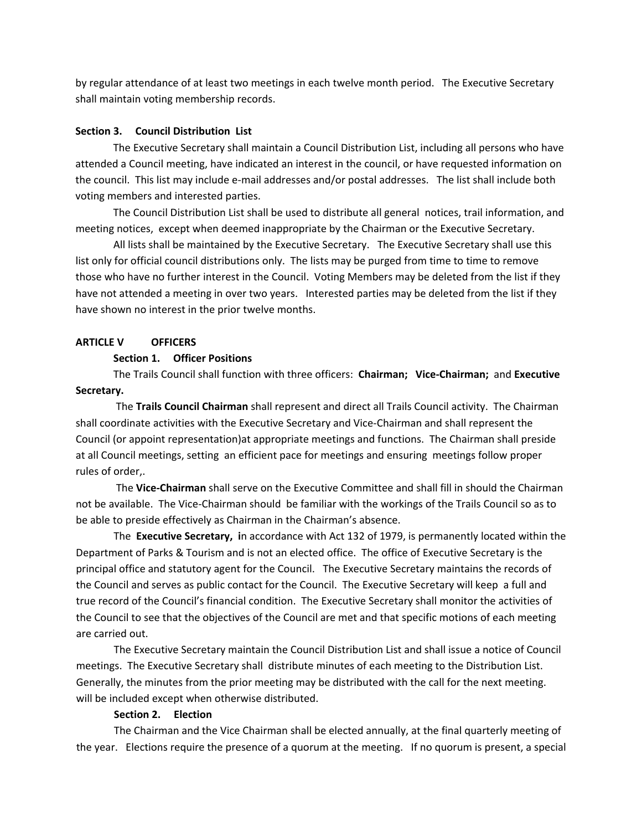by regular attendance of at least two meetings in each twelve month period. The Executive Secretary shall maintain voting membership records.

### **Section 3. Council Distribution List**

 The Executive Secretary shall maintain a Council Distribution List, including all persons who have attended a Council meeting, have indicated an interest in the council, or have requested information on the council. This list may include e-mail addresses and/or postal addresses. The list shall include both voting members and interested parties.

The Council Distribution List shall be used to distribute all general notices, trail information, and meeting notices, except when deemed inappropriate by the Chairman or the Executive Secretary.

All lists shall be maintained by the Executive Secretary. The Executive Secretary shall use this list only for official council distributions only. The lists may be purged from time to time to remove those who have no further interest in the Council. Voting Members may be deleted from the list if they have not attended a meeting in over two years. Interested parties may be deleted from the list if they have shown no interest in the prior twelve months.

### **ARTICLE V OFFICERS**

### **Section 1. Officer Positions**

The Trails Council shall function with three officers: **Chairman; Vice‐Chairman;** and **Executive Secretary.**

The **Trails Council Chairman** shall represent and direct all Trails Council activity. The Chairman shall coordinate activities with the Executive Secretary and Vice‐Chairman and shall represent the Council (or appoint representation)at appropriate meetings and functions. The Chairman shall preside at all Council meetings, setting an efficient pace for meetings and ensuring meetings follow proper rules of order,.

 The **Vice‐Chairman** shall serve on the Executive Committee and shall fill in should the Chairman not be available. The Vice‐Chairman should be familiar with the workings of the Trails Council so as to be able to preside effectively as Chairman in the Chairman's absence.

The **Executive Secretary, i**n accordance with Act 132 of 1979, is permanently located within the Department of Parks & Tourism and is not an elected office. The office of Executive Secretary is the principal office and statutory agent for the Council. The Executive Secretary maintains the records of the Council and serves as public contact for the Council. The Executive Secretary will keep a full and true record of the Council's financial condition. The Executive Secretary shall monitor the activities of the Council to see that the objectives of the Council are met and that specific motions of each meeting are carried out.

The Executive Secretary maintain the Council Distribution List and shall issue a notice of Council meetings. The Executive Secretary shall distribute minutes of each meeting to the Distribution List. Generally, the minutes from the prior meeting may be distributed with the call for the next meeting. will be included except when otherwise distributed.

### **Section 2. Election**

 The Chairman and the Vice Chairman shall be elected annually, at the final quarterly meeting of the year. Elections require the presence of a quorum at the meeting. If no quorum is present, a special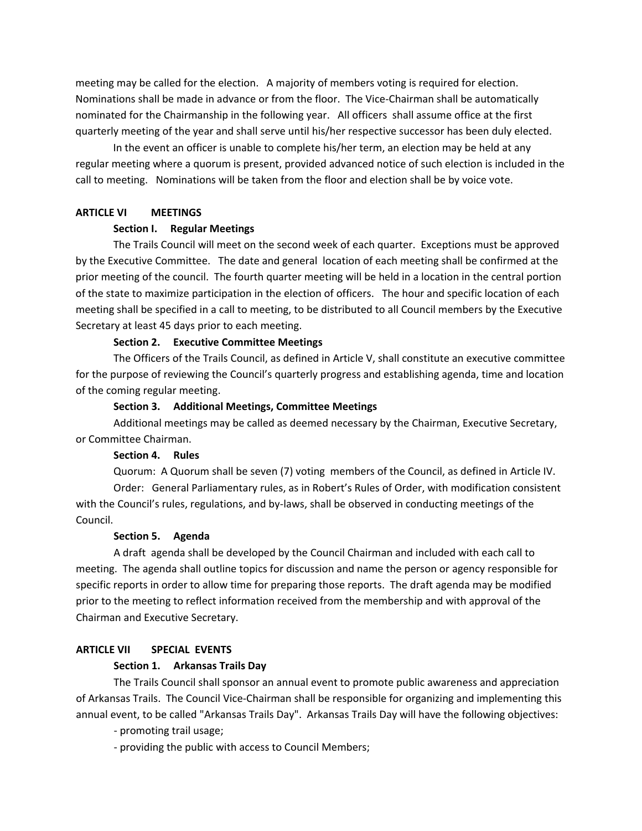meeting may be called for the election. A majority of members voting is required for election. Nominations shall be made in advance or from the floor. The Vice‐Chairman shall be automatically nominated for the Chairmanship in the following year. All officers shall assume office at the first quarterly meeting of the year and shall serve until his/her respective successor has been duly elected.

In the event an officer is unable to complete his/her term, an election may be held at any regular meeting where a quorum is present, provided advanced notice of such election is included in the call to meeting. Nominations will be taken from the floor and election shall be by voice vote.

#### **ARTICLE VI MEETINGS**

#### **Section I. Regular Meetings**

 The Trails Council will meet on the second week of each quarter. Exceptions must be approved by the Executive Committee. The date and general location of each meeting shall be confirmed at the prior meeting of the council. The fourth quarter meeting will be held in a location in the central portion of the state to maximize participation in the election of officers. The hour and specific location of each meeting shall be specified in a call to meeting, to be distributed to all Council members by the Executive Secretary at least 45 days prior to each meeting.

#### **Section 2. Executive Committee Meetings**

 The Officers of the Trails Council, as defined in Article V, shall constitute an executive committee for the purpose of reviewing the Council's quarterly progress and establishing agenda, time and location of the coming regular meeting.

#### **Section 3. Additional Meetings, Committee Meetings**

 Additional meetings may be called as deemed necessary by the Chairman, Executive Secretary, or Committee Chairman.

#### **Section 4. Rules**

 Quorum: A Quorum shall be seven (7) voting members of the Council, as defined in Article IV.

Order: General Parliamentary rules, as in Robert's Rules of Order, with modification consistent with the Council's rules, regulations, and by-laws, shall be observed in conducting meetings of the Council.

### **Section 5. Agenda**

 A draft agenda shall be developed by the Council Chairman and included with each call to meeting. The agenda shall outline topics for discussion and name the person or agency responsible for specific reports in order to allow time for preparing those reports. The draft agenda may be modified prior to the meeting to reflect information received from the membership and with approval of the Chairman and Executive Secretary.

### **ARTICLE VII SPECIAL EVENTS**

#### **Section 1. Arkansas Trails Day**

The Trails Council shall sponsor an annual event to promote public awareness and appreciation of Arkansas Trails. The Council Vice‐Chairman shall be responsible for organizing and implementing this annual event, to be called "Arkansas Trails Day". Arkansas Trails Day will have the following objectives:

‐ promoting trail usage;

‐ providing the public with access to Council Members;